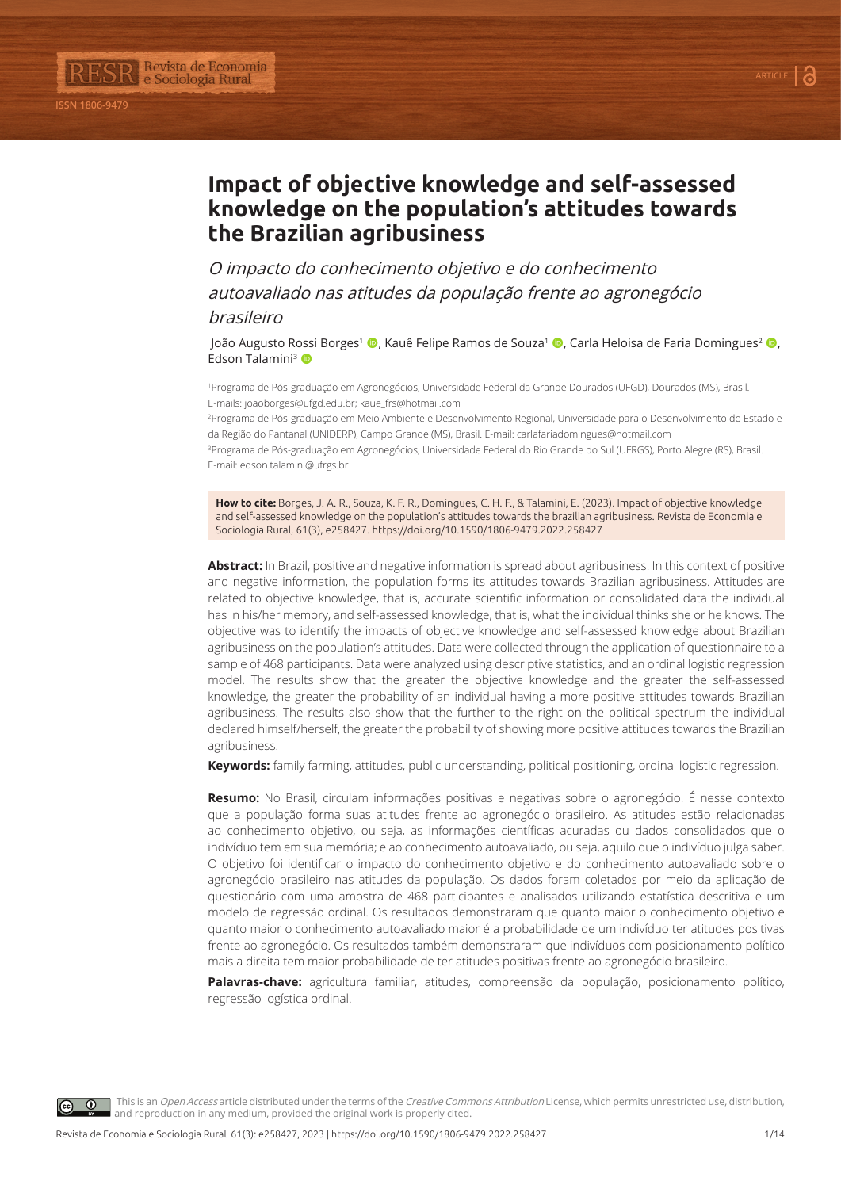

Revista de Economia<br>e Sociologia Rural

**ISSN 1806-9479**

O impacto do conhecimento objetivo e do conhecimento autoavaliado nas atitudes da população frente ao agronegócio brasileiro

João Augusto Rossi Borges<sup>1</sup> (**D**, Kauê Felipe Ramos de Souza<sup>1</sup> (**D**, Carla Heloisa de Faria Domingues<sup>2</sup> (**D**, Edson Talamini<sup>3</sup>

1 Programa de Pós-graduação em Agronegócios, Universidade Federal da Grande Dourados (UFGD), Dourados (MS), Brasil. E-mails: joaoborges@ufgd.edu.br; kaue\_frs@hotmail.com

2 Programa de Pós-graduação em Meio Ambiente e Desenvolvimento Regional, Universidade para o Desenvolvimento do Estado e da Região do Pantanal (UNIDERP), Campo Grande (MS), Brasil. E-mail: carlafariadomingues@hotmail.com

3 Programa de Pós-graduação em Agronegócios, Universidade Federal do Rio Grande do Sul (UFRGS), Porto Alegre (RS), Brasil. E-mail: edson.talamini@ufrgs.br

**How to cite:** Borges, J. A. R., Souza, K. F. R., Domingues, C. H. F., & Talamini, E. (2023). Impact of objective knowledge and self-assessed knowledge on the population's attitudes towards the brazilian agribusiness. Revista de Economia e Sociologia Rural, 61(3), e258427. https://doi.org/10.1590/1806-9479.2022.258427

**Abstract:** In Brazil, positive and negative information is spread about agribusiness. In this context of positive and negative information, the population forms its attitudes towards Brazilian agribusiness. Attitudes are related to objective knowledge, that is, accurate scientific information or consolidated data the individual has in his/her memory, and self-assessed knowledge, that is, what the individual thinks she or he knows. The objective was to identify the impacts of objective knowledge and self-assessed knowledge about Brazilian agribusiness on the population's attitudes. Data were collected through the application of questionnaire to a sample of 468 participants. Data were analyzed using descriptive statistics, and an ordinal logistic regression model. The results show that the greater the objective knowledge and the greater the self-assessed knowledge, the greater the probability of an individual having a more positive attitudes towards Brazilian agribusiness. The results also show that the further to the right on the political spectrum the individual declared himself/herself, the greater the probability of showing more positive attitudes towards the Brazilian agribusiness.

**Keywords:** family farming, attitudes, public understanding, political positioning, ordinal logistic regression.

**Resumo:** No Brasil, circulam informações positivas e negativas sobre o agronegócio. É nesse contexto que a população forma suas atitudes frente ao agronegócio brasileiro. As atitudes estão relacionadas ao conhecimento objetivo, ou seja, as informações científicas acuradas ou dados consolidados que o indivíduo tem em sua memória; e ao conhecimento autoavaliado, ou seja, aquilo que o indivíduo julga saber. O objetivo foi identificar o impacto do conhecimento objetivo e do conhecimento autoavaliado sobre o agronegócio brasileiro nas atitudes da população. Os dados foram coletados por meio da aplicação de questionário com uma amostra de 468 participantes e analisados utilizando estatística descritiva e um modelo de regressão ordinal. Os resultados demonstraram que quanto maior o conhecimento objetivo e quanto maior o conhecimento autoavaliado maior é a probabilidade de um indivíduo ter atitudes positivas frente ao agronegócio. Os resultados também demonstraram que indivíduos com posicionamento político mais a direita tem maior probabilidade de ter atitudes positivas frente ao agronegócio brasileiro.

**Palavras-chave:** agricultura familiar, atitudes, compreensão da população, posicionamento político, regressão logística ordinal.

This is an Open Access article distributed under the terms of the Creative Commons Attribution License, which permits unrestricted use, distribution, and reproduction in any medium, provided the original work is properly cited.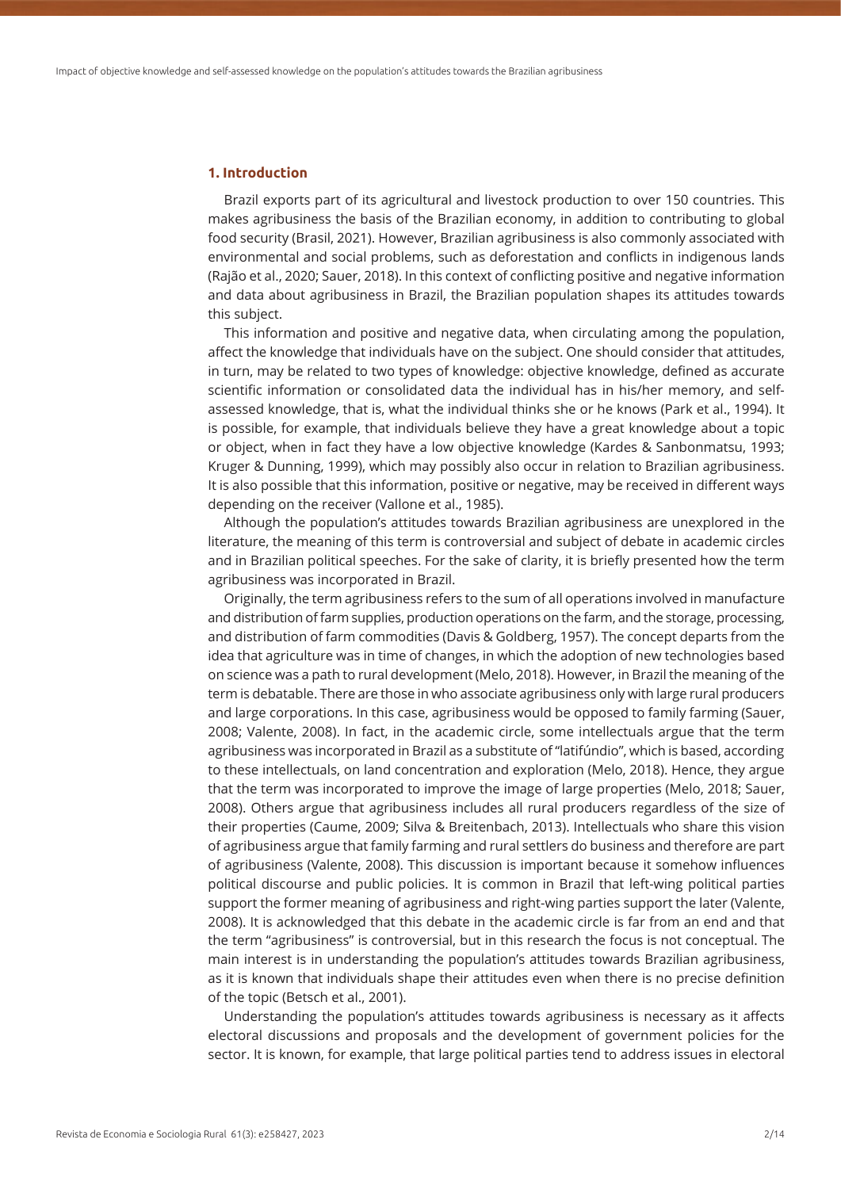#### **1. Introduction**

Brazil exports part of its agricultural and livestock production to over 150 countries. This makes agribusiness the basis of the Brazilian economy, in addition to contributing to global food security (Brasil, 2021). However, Brazilian agribusiness is also commonly associated with environmental and social problems, such as deforestation and conflicts in indigenous lands (Rajão et al., 2020; Sauer, 2018). In this context of conflicting positive and negative information and data about agribusiness in Brazil, the Brazilian population shapes its attitudes towards this subject.

This information and positive and negative data, when circulating among the population, affect the knowledge that individuals have on the subject. One should consider that attitudes, in turn, may be related to two types of knowledge: objective knowledge, defined as accurate scientific information or consolidated data the individual has in his/her memory, and selfassessed knowledge, that is, what the individual thinks she or he knows (Park et al., 1994). It is possible, for example, that individuals believe they have a great knowledge about a topic or object, when in fact they have a low objective knowledge (Kardes & Sanbonmatsu, 1993; Kruger & Dunning, 1999), which may possibly also occur in relation to Brazilian agribusiness. It is also possible that this information, positive or negative, may be received in different ways depending on the receiver (Vallone et al., 1985).

Although the population's attitudes towards Brazilian agribusiness are unexplored in the literature, the meaning of this term is controversial and subject of debate in academic circles and in Brazilian political speeches. For the sake of clarity, it is briefly presented how the term agribusiness was incorporated in Brazil.

Originally, the term agribusiness refers to the sum of all operations involved in manufacture and distribution of farm supplies, production operations on the farm, and the storage, processing, and distribution of farm commodities (Davis & Goldberg, 1957). The concept departs from the idea that agriculture was in time of changes, in which the adoption of new technologies based on science was a path to rural development (Melo, 2018). However, in Brazil the meaning of the term is debatable. There are those in who associate agribusiness only with large rural producers and large corporations. In this case, agribusiness would be opposed to family farming (Sauer, 2008; Valente, 2008). In fact, in the academic circle, some intellectuals argue that the term agribusiness was incorporated in Brazil as a substitute of "latifúndio", which is based, according to these intellectuals, on land concentration and exploration (Melo, 2018). Hence, they argue that the term was incorporated to improve the image of large properties (Melo, 2018; Sauer, 2008). Others argue that agribusiness includes all rural producers regardless of the size of their properties (Caume, 2009; Silva & Breitenbach, 2013). Intellectuals who share this vision of agribusiness argue that family farming and rural settlers do business and therefore are part of agribusiness (Valente, 2008). This discussion is important because it somehow influences political discourse and public policies. It is common in Brazil that left-wing political parties support the former meaning of agribusiness and right-wing parties support the later (Valente, 2008). It is acknowledged that this debate in the academic circle is far from an end and that the term "agribusiness" is controversial, but in this research the focus is not conceptual. The main interest is in understanding the population's attitudes towards Brazilian agribusiness, as it is known that individuals shape their attitudes even when there is no precise definition of the topic (Betsch et al., 2001).

Understanding the population's attitudes towards agribusiness is necessary as it affects electoral discussions and proposals and the development of government policies for the sector. It is known, for example, that large political parties tend to address issues in electoral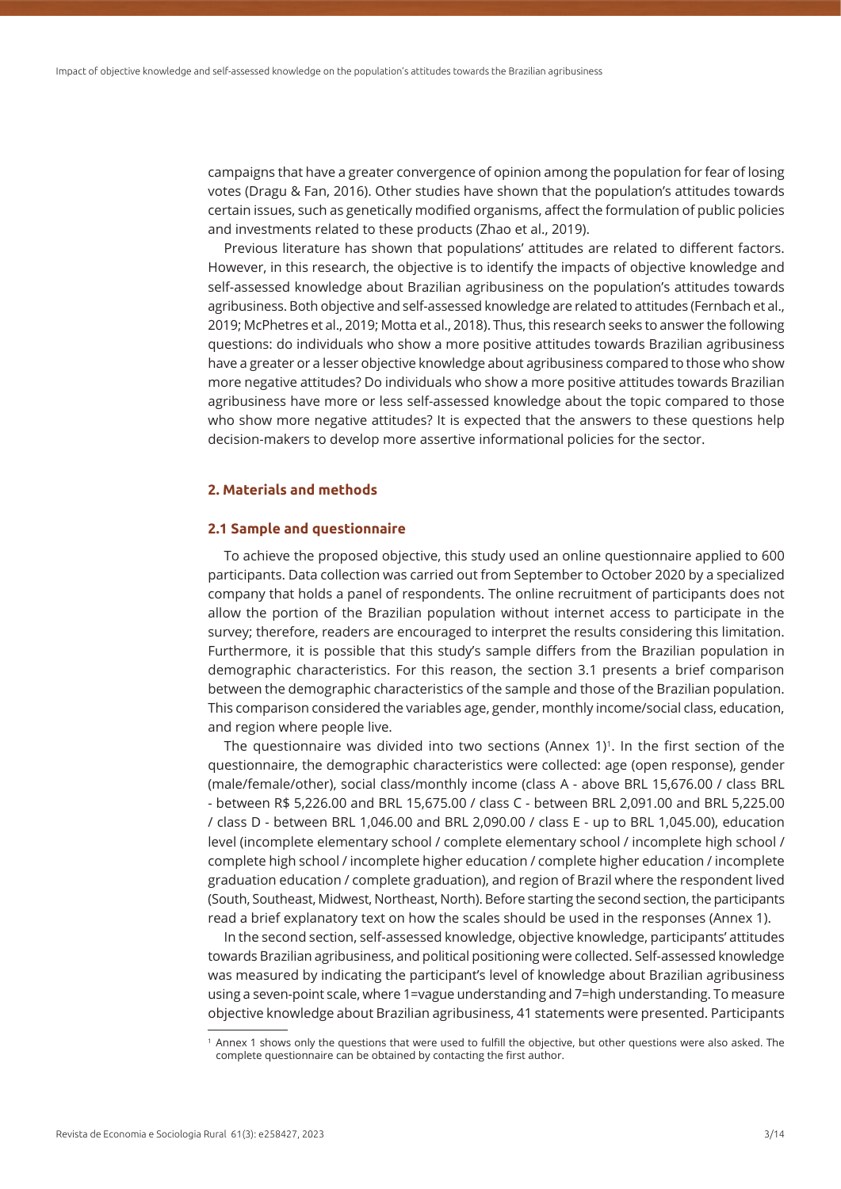campaigns that have a greater convergence of opinion among the population for fear of losing votes (Dragu & Fan, 2016). Other studies have shown that the population's attitudes towards certain issues, such as genetically modified organisms, affect the formulation of public policies and investments related to these products (Zhao et al., 2019).

Previous literature has shown that populations' attitudes are related to different factors. However, in this research, the objective is to identify the impacts of objective knowledge and self-assessed knowledge about Brazilian agribusiness on the population's attitudes towards agribusiness. Both objective and self-assessed knowledge are related to attitudes (Fernbach et al., 2019; McPhetres et al., 2019; Motta et al., 2018). Thus, this research seeks to answer the following questions: do individuals who show a more positive attitudes towards Brazilian agribusiness have a greater or a lesser objective knowledge about agribusiness compared to those who show more negative attitudes? Do individuals who show a more positive attitudes towards Brazilian agribusiness have more or less self-assessed knowledge about the topic compared to those who show more negative attitudes? It is expected that the answers to these questions help decision-makers to develop more assertive informational policies for the sector.

## **2. Materials and methods**

#### **2.1 Sample and questionnaire**

To achieve the proposed objective, this study used an online questionnaire applied to 600 participants. Data collection was carried out from September to October 2020 by a specialized company that holds a panel of respondents. The online recruitment of participants does not allow the portion of the Brazilian population without internet access to participate in the survey; therefore, readers are encouraged to interpret the results considering this limitation. Furthermore, it is possible that this study's sample differs from the Brazilian population in demographic characteristics. For this reason, the section 3.1 presents a brief comparison between the demographic characteristics of the sample and those of the Brazilian population. This comparison considered the variables age, gender, monthly income/social class, education, and region where people live.

The questionnaire was divided into two sections (Annex 1) 1. In the first section of the questionnaire, the demographic characteristics were collected: age (open response), gender (male/female/other), social class/monthly income (class A - above BRL 15,676.00 / class BRL - between R\$ 5,226.00 and BRL 15,675.00 / class C - between BRL 2,091.00 and BRL 5,225.00 / class D - between BRL 1,046.00 and BRL 2,090.00 / class E - up to BRL 1,045.00), education level (incomplete elementary school / complete elementary school / incomplete high school / complete high school / incomplete higher education / complete higher education / incomplete graduation education / complete graduation), and region of Brazil where the respondent lived (South, Southeast, Midwest, Northeast, North). Before starting the second section, the participants read a brief explanatory text on how the scales should be used in the responses (Annex 1).

In the second section, self-assessed knowledge, objective knowledge, participants' attitudes towards Brazilian agribusiness, and political positioning were collected. Self-assessed knowledge was measured by indicating the participant's level of knowledge about Brazilian agribusiness using a seven-point scale, where 1=vague understanding and 7=high understanding. To measure objective knowledge about Brazilian agribusiness, 41 statements were presented. Participants

<sup>1</sup> Annex 1 shows only the questions that were used to fulfill the objective, but other questions were also asked. The complete questionnaire can be obtained by contacting the first author.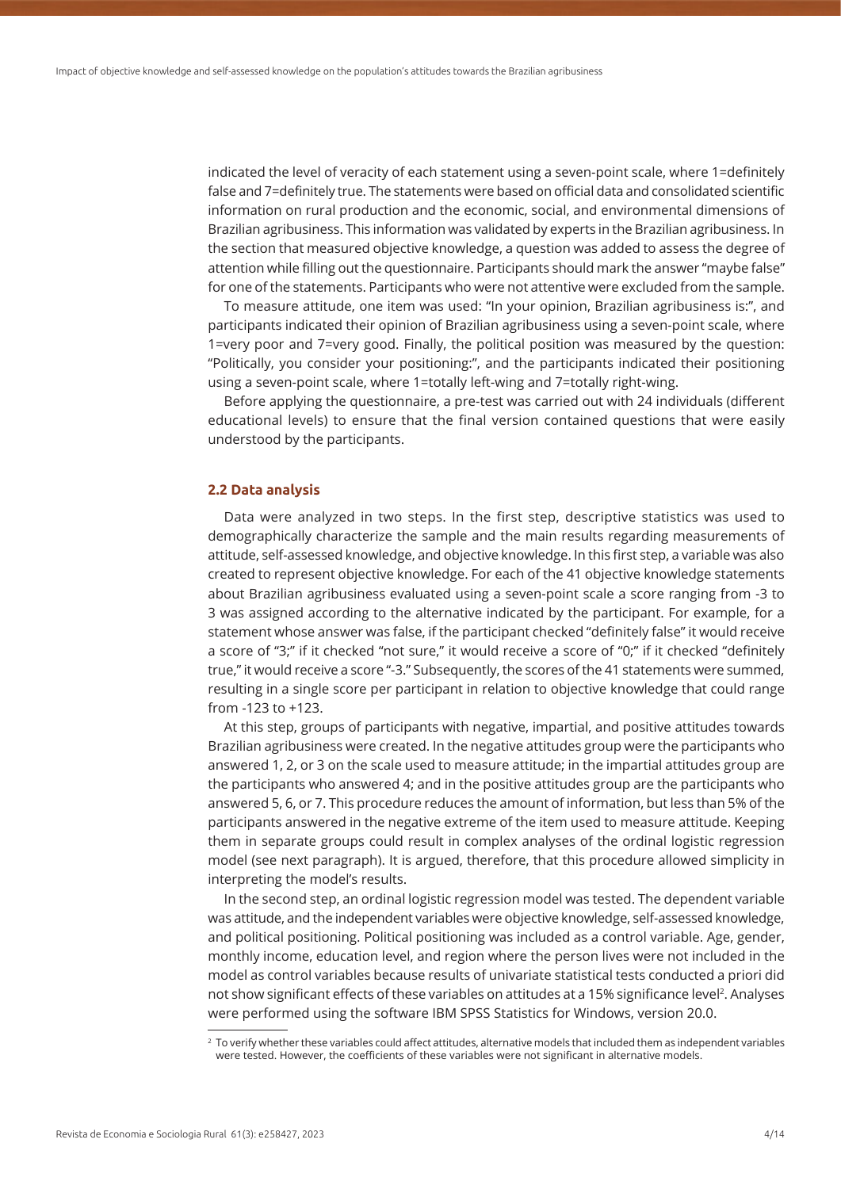indicated the level of veracity of each statement using a seven-point scale, where 1=definitely false and 7=definitely true. The statements were based on official data and consolidated scientific information on rural production and the economic, social, and environmental dimensions of Brazilian agribusiness. This information was validated by experts in the Brazilian agribusiness. In the section that measured objective knowledge, a question was added to assess the degree of attention while filling out the questionnaire. Participants should mark the answer "maybe false" for one of the statements. Participants who were not attentive were excluded from the sample.

To measure attitude, one item was used: "In your opinion, Brazilian agribusiness is:", and participants indicated their opinion of Brazilian agribusiness using a seven-point scale, where 1=very poor and 7=very good. Finally, the political position was measured by the question: "Politically, you consider your positioning:", and the participants indicated their positioning using a seven-point scale, where 1=totally left-wing and 7=totally right-wing.

Before applying the questionnaire, a pre-test was carried out with 24 individuals (different educational levels) to ensure that the final version contained questions that were easily understood by the participants.

#### **2.2 Data analysis**

Data were analyzed in two steps. In the first step, descriptive statistics was used to demographically characterize the sample and the main results regarding measurements of attitude, self-assessed knowledge, and objective knowledge. In this first step, a variable was also created to represent objective knowledge. For each of the 41 objective knowledge statements about Brazilian agribusiness evaluated using a seven-point scale a score ranging from -3 to 3 was assigned according to the alternative indicated by the participant. For example, for a statement whose answer was false, if the participant checked "definitely false" it would receive a score of "3;" if it checked "not sure," it would receive a score of "0;" if it checked "definitely true," it would receive a score "-3." Subsequently, the scores of the 41 statements were summed, resulting in a single score per participant in relation to objective knowledge that could range from -123 to +123.

At this step, groups of participants with negative, impartial, and positive attitudes towards Brazilian agribusiness were created. In the negative attitudes group were the participants who answered 1, 2, or 3 on the scale used to measure attitude; in the impartial attitudes group are the participants who answered 4; and in the positive attitudes group are the participants who answered 5, 6, or 7. This procedure reduces the amount of information, but less than 5% of the participants answered in the negative extreme of the item used to measure attitude. Keeping them in separate groups could result in complex analyses of the ordinal logistic regression model (see next paragraph). It is argued, therefore, that this procedure allowed simplicity in interpreting the model's results.

In the second step, an ordinal logistic regression model was tested. The dependent variable was attitude, and the independent variables were objective knowledge, self-assessed knowledge, and political positioning. Political positioning was included as a control variable. Age, gender, monthly income, education level, and region where the person lives were not included in the model as control variables because results of univariate statistical tests conducted a priori did not show significant effects of these variables on attitudes at a 15% significance level<sup>2</sup>. Analyses were performed using the software IBM SPSS Statistics for Windows, version 20.0.

<sup>&</sup>lt;sup>2</sup> To verify whether these variables could affect attitudes, alternative models that included them as independent variables were tested. However, the coefficients of these variables were not significant in alternative models.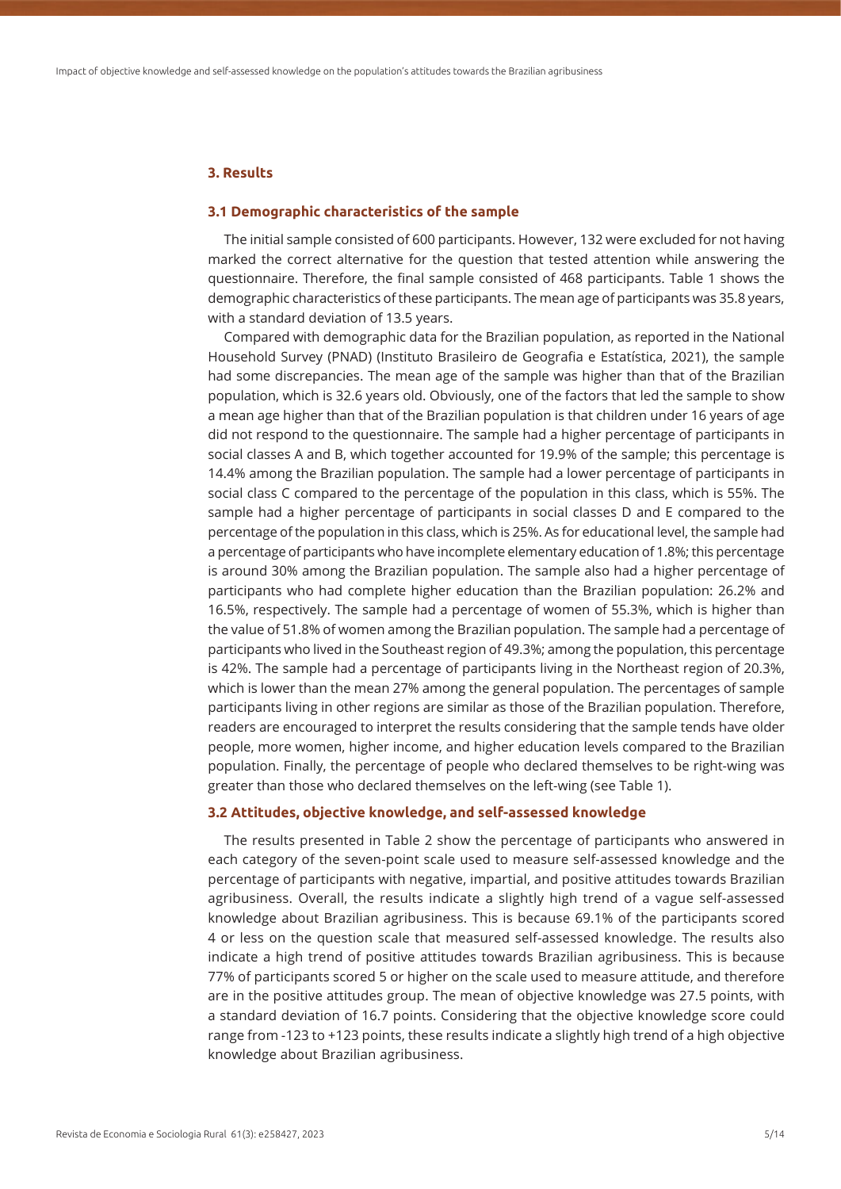#### **3. Results**

#### **3.1 Demographic characteristics of the sample**

The initial sample consisted of 600 participants. However, 132 were excluded for not having marked the correct alternative for the question that tested attention while answering the questionnaire. Therefore, the final sample consisted of 468 participants. Table 1 shows the demographic characteristics of these participants. The mean age of participants was 35.8 years, with a standard deviation of 13.5 years.

Compared with demographic data for the Brazilian population, as reported in the National Household Survey (PNAD) (Instituto Brasileiro de Geografia e Estatística, 2021), the sample had some discrepancies. The mean age of the sample was higher than that of the Brazilian population, which is 32.6 years old. Obviously, one of the factors that led the sample to show a mean age higher than that of the Brazilian population is that children under 16 years of age did not respond to the questionnaire. The sample had a higher percentage of participants in social classes A and B, which together accounted for 19.9% of the sample; this percentage is 14.4% among the Brazilian population. The sample had a lower percentage of participants in social class C compared to the percentage of the population in this class, which is 55%. The sample had a higher percentage of participants in social classes D and E compared to the percentage of the population in this class, which is 25%. As for educational level, the sample had a percentage of participants who have incomplete elementary education of 1.8%; this percentage is around 30% among the Brazilian population. The sample also had a higher percentage of participants who had complete higher education than the Brazilian population: 26.2% and 16.5%, respectively. The sample had a percentage of women of 55.3%, which is higher than the value of 51.8% of women among the Brazilian population. The sample had a percentage of participants who lived in the Southeast region of 49.3%; among the population, this percentage is 42%. The sample had a percentage of participants living in the Northeast region of 20.3%, which is lower than the mean 27% among the general population. The percentages of sample participants living in other regions are similar as those of the Brazilian population. Therefore, readers are encouraged to interpret the results considering that the sample tends have older people, more women, higher income, and higher education levels compared to the Brazilian population. Finally, the percentage of people who declared themselves to be right-wing was greater than those who declared themselves on the left-wing (see Table 1).

#### **3.2 Attitudes, objective knowledge, and self-assessed knowledge**

The results presented in Table 2 show the percentage of participants who answered in each category of the seven-point scale used to measure self-assessed knowledge and the percentage of participants with negative, impartial, and positive attitudes towards Brazilian agribusiness. Overall, the results indicate a slightly high trend of a vague self-assessed knowledge about Brazilian agribusiness. This is because 69.1% of the participants scored 4 or less on the question scale that measured self-assessed knowledge. The results also indicate a high trend of positive attitudes towards Brazilian agribusiness. This is because 77% of participants scored 5 or higher on the scale used to measure attitude, and therefore are in the positive attitudes group. The mean of objective knowledge was 27.5 points, with a standard deviation of 16.7 points. Considering that the objective knowledge score could range from -123 to +123 points, these results indicate a slightly high trend of a high objective knowledge about Brazilian agribusiness.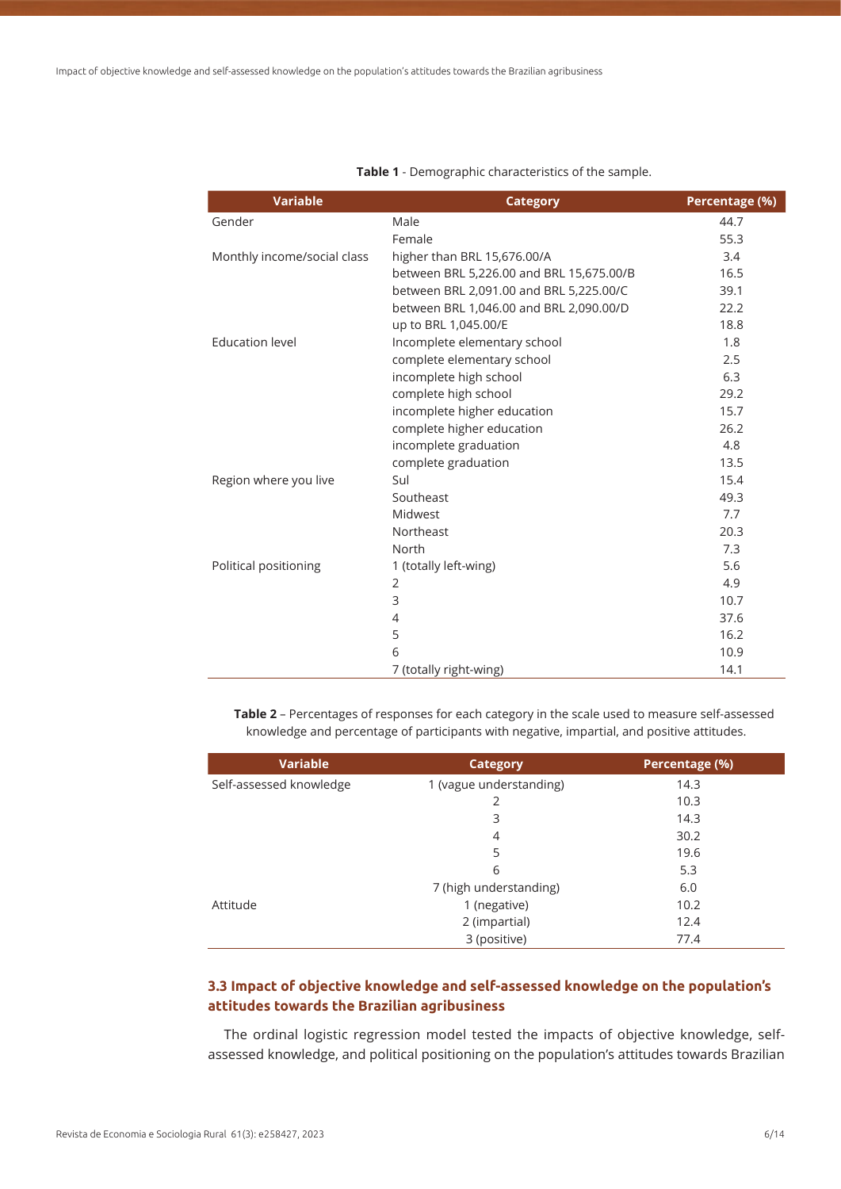| <b>Variable</b>             | <b>Category</b>                          | Percentage (%) |
|-----------------------------|------------------------------------------|----------------|
| Gender                      | Male                                     | 44.7           |
|                             | Female                                   | 55.3           |
| Monthly income/social class | higher than BRL 15,676.00/A              | 3.4            |
|                             | between BRL 5,226.00 and BRL 15,675.00/B | 16.5           |
|                             | between BRL 2,091.00 and BRL 5,225.00/C  | 39.1           |
|                             | between BRL 1,046.00 and BRL 2,090.00/D  | 22.2           |
|                             | up to BRL 1,045.00/E                     | 18.8           |
| <b>Education level</b>      | Incomplete elementary school             | 1.8            |
|                             | complete elementary school               | 2.5            |
|                             | incomplete high school                   | 6.3            |
|                             | complete high school                     | 29.2           |
|                             | incomplete higher education              | 15.7           |
|                             | complete higher education                | 26.2           |
|                             | incomplete graduation                    | 4.8            |
|                             | complete graduation                      | 13.5           |
| Region where you live       | Sul                                      | 15.4           |
|                             | Southeast                                | 49.3           |
|                             | Midwest                                  | 7.7            |
|                             | Northeast                                | 20.3           |
|                             | North                                    | 7.3            |
| Political positioning       | 1 (totally left-wing)                    | 5.6            |
|                             | $\overline{2}$                           | 4.9            |
|                             | 3                                        | 10.7           |
|                             | 4                                        | 37.6           |
|                             | 5                                        | 16.2           |
|                             | 6                                        | 10.9           |
|                             | 7 (totally right-wing)                   | 14.1           |

**Table 1** - Demographic characteristics of the sample.

**Table 2** – Percentages of responses for each category in the scale used to measure self-assessed knowledge and percentage of participants with negative, impartial, and positive attitudes.

| <b>Variable</b>         | Category                | Percentage (%) |
|-------------------------|-------------------------|----------------|
| Self-assessed knowledge | 1 (vague understanding) | 14.3           |
|                         | 2                       | 10.3           |
|                         | 3                       | 14.3           |
|                         | 4                       | 30.2           |
|                         | 5                       | 19.6           |
|                         | 6                       | 5.3            |
|                         | 7 (high understanding)  | 6.0            |
| Attitude                | 1 (negative)            | 10.2           |
|                         | 2 (impartial)           | 12.4           |
|                         | 3 (positive)            | 77.4           |

# **3.3 Impact of objective knowledge and self-assessed knowledge on the population's attitudes towards the Brazilian agribusiness**

The ordinal logistic regression model tested the impacts of objective knowledge, selfassessed knowledge, and political positioning on the population's attitudes towards Brazilian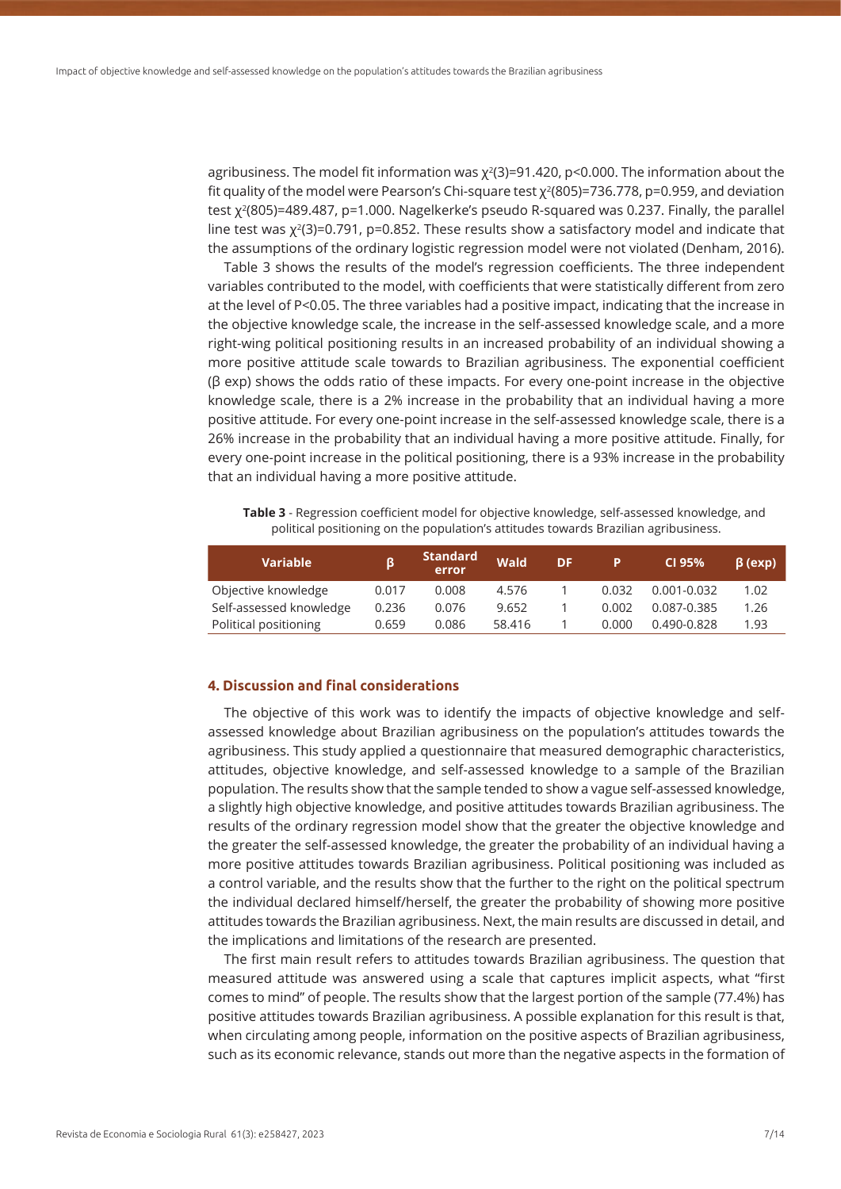agribusiness. The model fit information was  $\chi^2(3)=91.420$ , p<0.000. The information about the fit quality of the model were Pearson's Chi-square test  $\chi^2(805)$ =736.778, p=0.959, and deviation test χ<sup>2</sup>(805)=489.487, p=1.000. Nagelkerke's pseudo R-squared was 0.237. Finally, the parallel line test was  $\chi^2(3)=0.791$ , p=0.852. These results show a satisfactory model and indicate that the assumptions of the ordinary logistic regression model were not violated (Denham, 2016).

Table 3 shows the results of the model's regression coefficients. The three independent variables contributed to the model, with coefficients that were statistically different from zero at the level of P<0.05. The three variables had a positive impact, indicating that the increase in the objective knowledge scale, the increase in the self-assessed knowledge scale, and a more right-wing political positioning results in an increased probability of an individual showing a more positive attitude scale towards to Brazilian agribusiness. The exponential coefficient (β exp) shows the odds ratio of these impacts. For every one-point increase in the objective knowledge scale, there is a 2% increase in the probability that an individual having a more positive attitude. For every one-point increase in the self-assessed knowledge scale, there is a 26% increase in the probability that an individual having a more positive attitude. Finally, for every one-point increase in the political positioning, there is a 93% increase in the probability that an individual having a more positive attitude.

**Table 3** - Regression coefficient model for objective knowledge, self-assessed knowledge, and political positioning on the population's attitudes towards Brazilian agribusiness.

| <b>Variable</b>         |       | <b>Standard</b><br>error | <b>Wald</b> | DF | P     | CI 95%          | $\beta$ (exp) |
|-------------------------|-------|--------------------------|-------------|----|-------|-----------------|---------------|
| Objective knowledge     | 0.017 | 0.008                    | 4.576       |    | 0.032 | $0.001 - 0.032$ | 1.02          |
| Self-assessed knowledge | 0.236 | 0.076                    | 9.652       |    | 0.002 | 0.087-0.385     | 1.26          |
| Political positioning   | 0.659 | 0.086                    | 58.416      |    | 0.000 | 0.490-0.828     | 1.93          |

### **4. Discussion and final considerations**

The objective of this work was to identify the impacts of objective knowledge and selfassessed knowledge about Brazilian agribusiness on the population's attitudes towards the agribusiness. This study applied a questionnaire that measured demographic characteristics, attitudes, objective knowledge, and self-assessed knowledge to a sample of the Brazilian population. The results show that the sample tended to show a vague self-assessed knowledge, a slightly high objective knowledge, and positive attitudes towards Brazilian agribusiness. The results of the ordinary regression model show that the greater the objective knowledge and the greater the self-assessed knowledge, the greater the probability of an individual having a more positive attitudes towards Brazilian agribusiness. Political positioning was included as a control variable, and the results show that the further to the right on the political spectrum the individual declared himself/herself, the greater the probability of showing more positive attitudes towards the Brazilian agribusiness. Next, the main results are discussed in detail, and the implications and limitations of the research are presented.

The first main result refers to attitudes towards Brazilian agribusiness. The question that measured attitude was answered using a scale that captures implicit aspects, what "first comes to mind" of people. The results show that the largest portion of the sample (77.4%) has positive attitudes towards Brazilian agribusiness. A possible explanation for this result is that, when circulating among people, information on the positive aspects of Brazilian agribusiness, such as its economic relevance, stands out more than the negative aspects in the formation of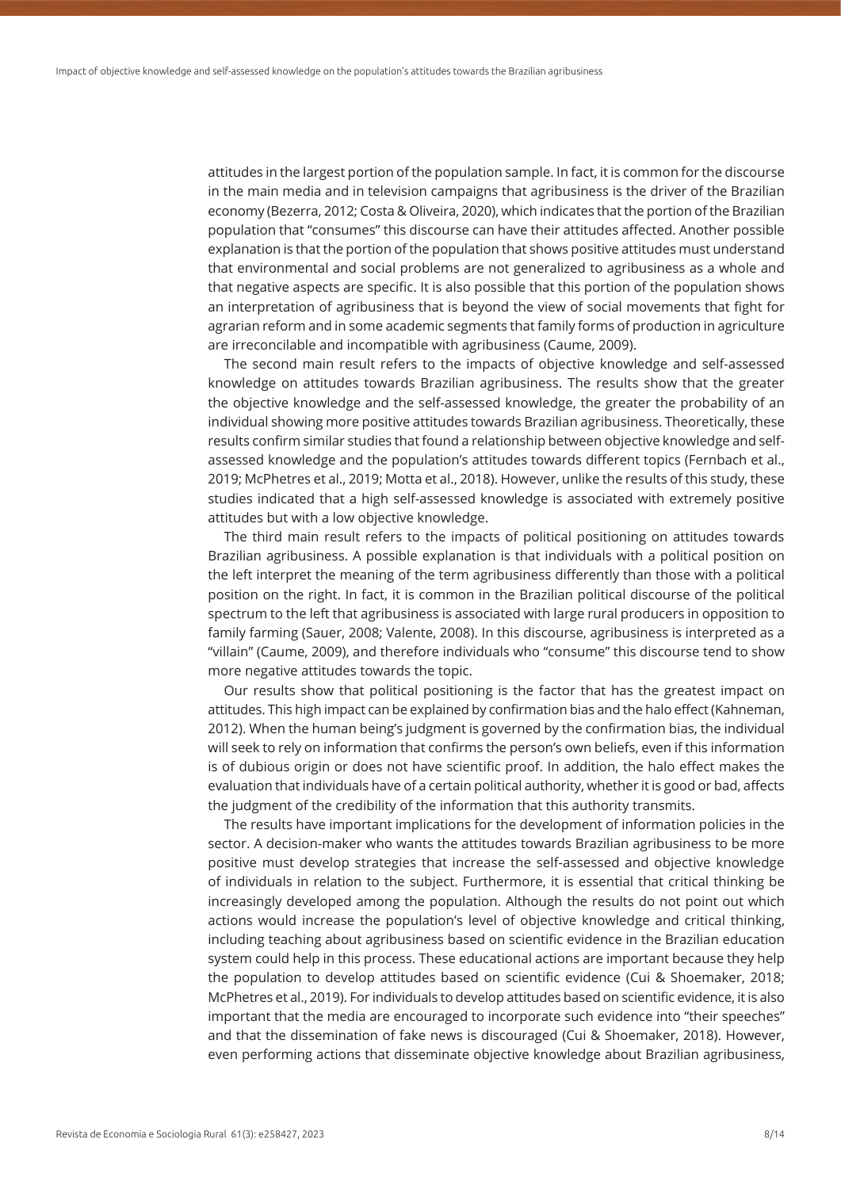attitudes in the largest portion of the population sample. In fact, it is common for the discourse in the main media and in television campaigns that agribusiness is the driver of the Brazilian economy (Bezerra, 2012; Costa & Oliveira, 2020), which indicates that the portion of the Brazilian population that "consumes" this discourse can have their attitudes affected. Another possible explanation is that the portion of the population that shows positive attitudes must understand that environmental and social problems are not generalized to agribusiness as a whole and that negative aspects are specific. It is also possible that this portion of the population shows an interpretation of agribusiness that is beyond the view of social movements that fight for agrarian reform and in some academic segments that family forms of production in agriculture are irreconcilable and incompatible with agribusiness (Caume, 2009).

The second main result refers to the impacts of objective knowledge and self-assessed knowledge on attitudes towards Brazilian agribusiness. The results show that the greater the objective knowledge and the self-assessed knowledge, the greater the probability of an individual showing more positive attitudes towards Brazilian agribusiness. Theoretically, these results confirm similar studies that found a relationship between objective knowledge and selfassessed knowledge and the population's attitudes towards different topics (Fernbach et al., 2019; McPhetres et al., 2019; Motta et al., 2018). However, unlike the results of this study, these studies indicated that a high self-assessed knowledge is associated with extremely positive attitudes but with a low objective knowledge.

The third main result refers to the impacts of political positioning on attitudes towards Brazilian agribusiness. A possible explanation is that individuals with a political position on the left interpret the meaning of the term agribusiness differently than those with a political position on the right. In fact, it is common in the Brazilian political discourse of the political spectrum to the left that agribusiness is associated with large rural producers in opposition to family farming (Sauer, 2008; Valente, 2008). In this discourse, agribusiness is interpreted as a "villain" (Caume, 2009), and therefore individuals who "consume" this discourse tend to show more negative attitudes towards the topic.

Our results show that political positioning is the factor that has the greatest impact on attitudes. This high impact can be explained by confirmation bias and the halo effect (Kahneman, 2012). When the human being's judgment is governed by the confirmation bias, the individual will seek to rely on information that confirms the person's own beliefs, even if this information is of dubious origin or does not have scientific proof. In addition, the halo effect makes the evaluation that individuals have of a certain political authority, whether it is good or bad, affects the judgment of the credibility of the information that this authority transmits.

The results have important implications for the development of information policies in the sector. A decision-maker who wants the attitudes towards Brazilian agribusiness to be more positive must develop strategies that increase the self-assessed and objective knowledge of individuals in relation to the subject. Furthermore, it is essential that critical thinking be increasingly developed among the population. Although the results do not point out which actions would increase the population's level of objective knowledge and critical thinking, including teaching about agribusiness based on scientific evidence in the Brazilian education system could help in this process. These educational actions are important because they help the population to develop attitudes based on scientific evidence (Cui & Shoemaker, 2018; McPhetres et al., 2019). For individuals to develop attitudes based on scientific evidence, it is also important that the media are encouraged to incorporate such evidence into "their speeches" and that the dissemination of fake news is discouraged (Cui & Shoemaker, 2018). However, even performing actions that disseminate objective knowledge about Brazilian agribusiness,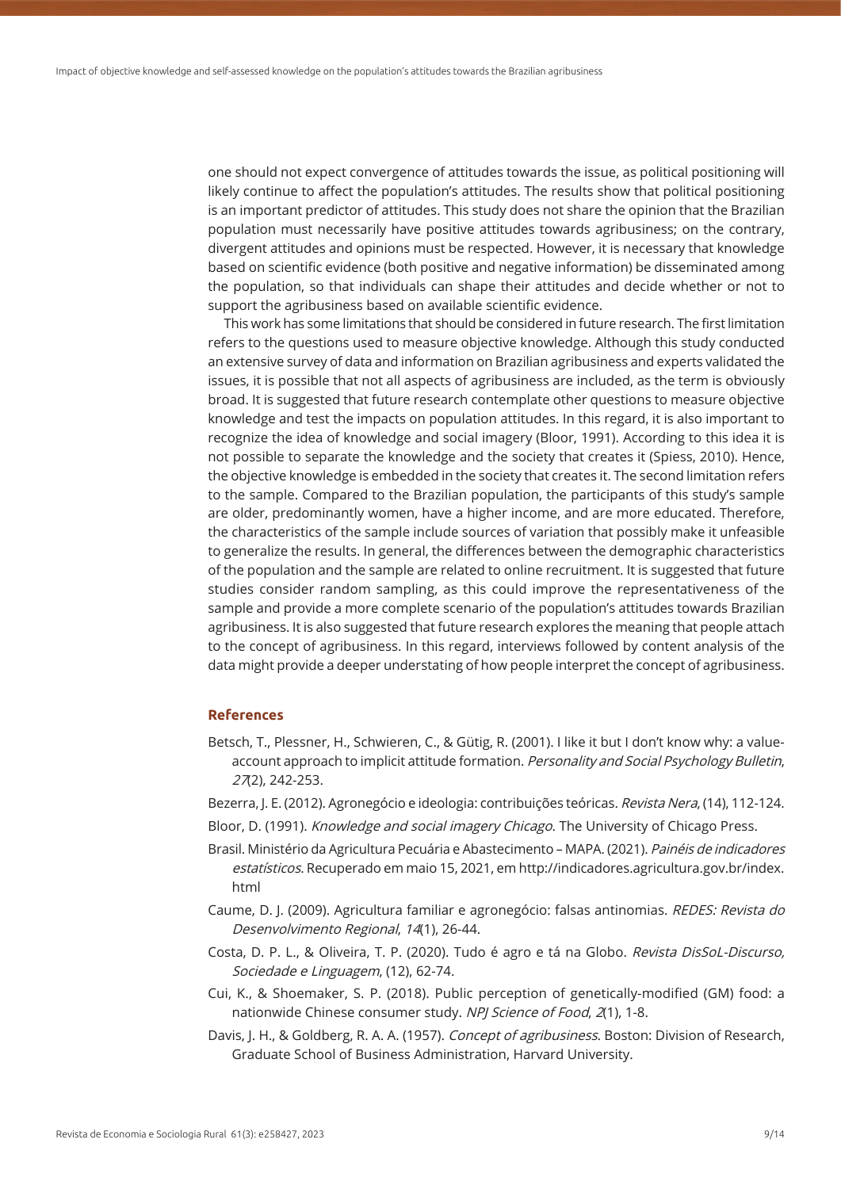one should not expect convergence of attitudes towards the issue, as political positioning will likely continue to affect the population's attitudes. The results show that political positioning is an important predictor of attitudes. This study does not share the opinion that the Brazilian population must necessarily have positive attitudes towards agribusiness; on the contrary, divergent attitudes and opinions must be respected. However, it is necessary that knowledge based on scientific evidence (both positive and negative information) be disseminated among the population, so that individuals can shape their attitudes and decide whether or not to support the agribusiness based on available scientific evidence.

This work has some limitations that should be considered in future research. The first limitation refers to the questions used to measure objective knowledge. Although this study conducted an extensive survey of data and information on Brazilian agribusiness and experts validated the issues, it is possible that not all aspects of agribusiness are included, as the term is obviously broad. It is suggested that future research contemplate other questions to measure objective knowledge and test the impacts on population attitudes. In this regard, it is also important to recognize the idea of knowledge and social imagery (Bloor, 1991). According to this idea it is not possible to separate the knowledge and the society that creates it (Spiess, 2010). Hence, the objective knowledge is embedded in the society that creates it. The second limitation refers to the sample. Compared to the Brazilian population, the participants of this study's sample are older, predominantly women, have a higher income, and are more educated. Therefore, the characteristics of the sample include sources of variation that possibly make it unfeasible to generalize the results. In general, the differences between the demographic characteristics of the population and the sample are related to online recruitment. It is suggested that future studies consider random sampling, as this could improve the representativeness of the sample and provide a more complete scenario of the population's attitudes towards Brazilian agribusiness. It is also suggested that future research explores the meaning that people attach to the concept of agribusiness. In this regard, interviews followed by content analysis of the data might provide a deeper understating of how people interpret the concept of agribusiness.

### **References**

- Betsch, T., Plessner, H., Schwieren, C., & Gütig, R. (2001). I like it but I don't know why: a valueaccount approach to implicit attitude formation. Personality and Social Psychology Bulletin, 27(2), 242-253.
- Bezerra, J. E. (2012). Agronegócio e ideologia: contribuições teóricas. Revista Nera, (14), 112-124.
- Bloor, D. (1991). Knowledge and social imagery Chicago. The University of Chicago Press.
- Brasil. Ministério da Agricultura Pecuária e Abastecimento MAPA. (2021). Painéis de indicadores estatísticos. Recuperado em maio 15, 2021, em http://indicadores.agricultura.gov.br/index. html
- Caume, D. J. (2009). Agricultura familiar e agronegócio: falsas antinomias. REDES: Revista do Desenvolvimento Regional, 14(1), 26-44.
- Costa, D. P. L., & Oliveira, T. P. (2020). Tudo é agro e tá na Globo. Revista DisSoL-Discurso, Sociedade e Linguagem, (12), 62-74.
- Cui, K., & Shoemaker, S. P. (2018). Public perception of genetically-modified (GM) food: a nationwide Chinese consumer study. NPJ Science of Food, 2(1), 1-8.
- Davis, J. H., & Goldberg, R. A. A. (1957). Concept of agribusiness. Boston: Division of Research, Graduate School of Business Administration, Harvard University.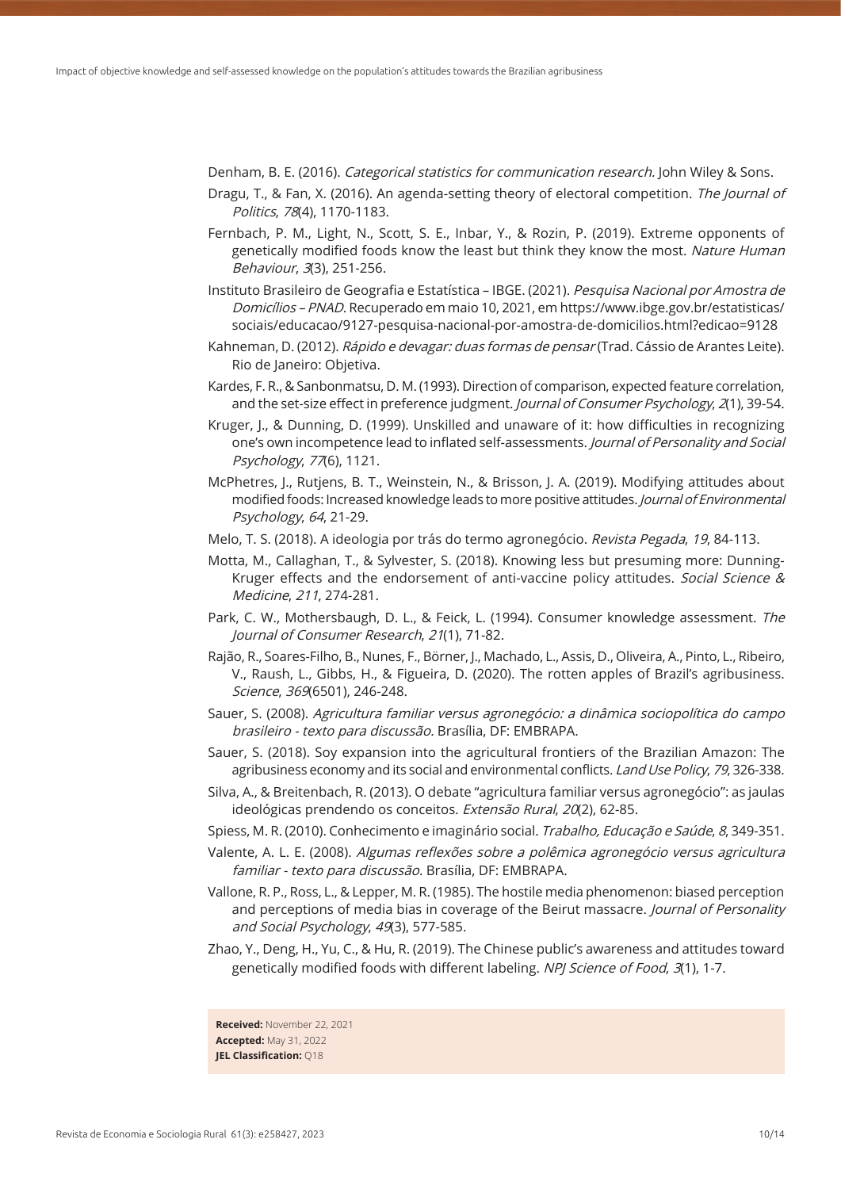Denham, B. E. (2016). *Categorical statistics for communication research.* John Wiley & Sons.

- Dragu, T., & Fan, X. (2016). An agenda-setting theory of electoral competition. The Journal of Politics, 78(4), 1170-1183.
- Fernbach, P. M., Light, N., Scott, S. E., Inbar, Y., & Rozin, P. (2019). Extreme opponents of genetically modified foods know the least but think they know the most. Nature Human Behaviour, 3(3), 251-256.
- Instituto Brasileiro de Geografia e Estatística IBGE. (2021). Pesquisa Nacional por Amostra de Domicílios – PNAD. Recuperado em maio 10, 2021, em https://www.ibge.gov.br/estatisticas/ sociais/educacao/9127-pesquisa-nacional-por-amostra-de-domicilios.html?edicao=9128
- Kahneman, D. (2012). Rápido e devagar: duas formas de pensar (Trad. Cássio de Arantes Leite). Rio de Janeiro: Objetiva.
- Kardes, F. R., & Sanbonmatsu, D. M. (1993). Direction of comparison, expected feature correlation, and the set-size effect in preference judgment. Journal of Consumer Psychology, 2(1), 39-54.
- Kruger, J., & Dunning, D. (1999). Unskilled and unaware of it: how difficulties in recognizing one's own incompetence lead to inflated self-assessments. Journal of Personality and Social Psychology, 77(6), 1121.
- McPhetres, J., Rutjens, B. T., Weinstein, N., & Brisson, J. A. (2019). Modifying attitudes about modified foods: Increased knowledge leads to more positive attitudes. Journal of Environmental Psychology, 64, 21-29.
- Melo, T. S. (2018). A ideologia por trás do termo agronegócio. Revista Pegada, 19, 84-113.
- Motta, M., Callaghan, T., & Sylvester, S. (2018). Knowing less but presuming more: Dunning-Kruger effects and the endorsement of anti-vaccine policy attitudes. Social Science & Medicine, 211, 274-281.
- Park, C. W., Mothersbaugh, D. L., & Feick, L. (1994). Consumer knowledge assessment. The Journal of Consumer Research, 21(1), 71-82.
- Rajão, R., Soares-Filho, B., Nunes, F., Börner, J., Machado, L., Assis, D., Oliveira, A., Pinto, L., Ribeiro, V., Raush, L., Gibbs, H., & Figueira, D. (2020). The rotten apples of Brazil's agribusiness. Science, 369(6501), 246-248.
- Sauer, S. (2008). Agricultura familiar versus agronegócio: a dinâmica sociopolítica do campo brasileiro - texto para discussão. Brasília, DF: EMBRAPA.
- Sauer, S. (2018). Soy expansion into the agricultural frontiers of the Brazilian Amazon: The agribusiness economy and its social and environmental conflicts. Land Use Policy, 79, 326-338.
- Silva, A., & Breitenbach, R. (2013). O debate "agricultura familiar versus agronegócio": as jaulas ideológicas prendendo os conceitos. Extensão Rural, 20(2), 62-85.
- Spiess, M. R. (2010). Conhecimento e imaginário social. Trabalho, Educação e Saúde, 8, 349-351.
- Valente, A. L. E. (2008). Algumas reflexões sobre a polêmica agronegócio versus agricultura familiar - texto para discussão. Brasília, DF: EMBRAPA.
- Vallone, R. P., Ross, L., & Lepper, M. R. (1985). The hostile media phenomenon: biased perception and perceptions of media bias in coverage of the Beirut massacre. Journal of Personality and Social Psychology, 49(3), 577-585.
- Zhao, Y., Deng, H., Yu, C., & Hu, R. (2019). The Chinese public's awareness and attitudes toward genetically modified foods with different labeling. NPJ Science of Food, 3(1), 1-7.

**Received:** November 22, 2021 **Accepted:** May 31, 2022 **JEL Classification:** Q18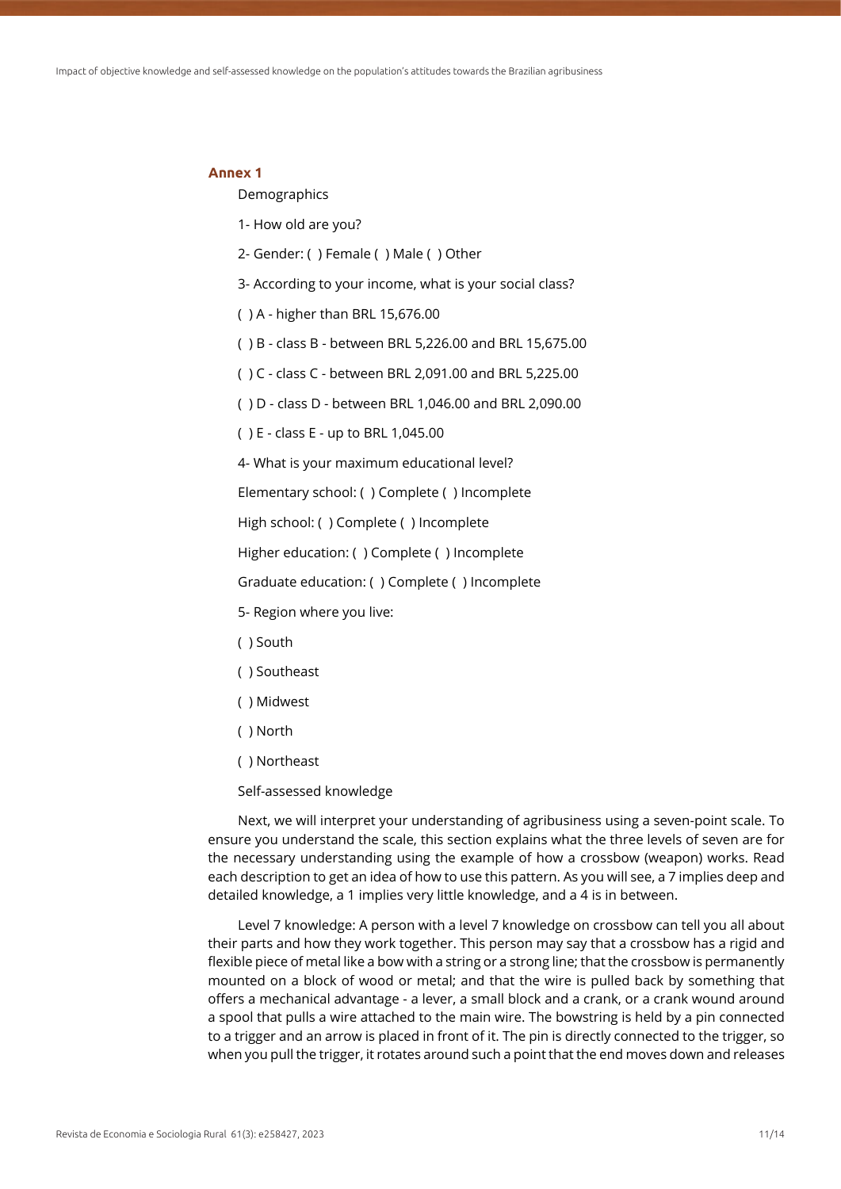#### **Annex 1**

Demographics

- 1- How old are you?
- 2- Gender: ( ) Female ( ) Male ( ) Other
- 3- According to your income, what is your social class?
- ( ) A higher than BRL 15,676.00
- ( ) B class B between BRL 5,226.00 and BRL 15,675.00
- ( ) C class C between BRL 2,091.00 and BRL 5,225.00
- ( ) D class D between BRL 1,046.00 and BRL 2,090.00
- ( ) E class E up to BRL 1,045.00

4- What is your maximum educational level?

Elementary school: ( ) Complete ( ) Incomplete

High school: ( ) Complete ( ) Incomplete

Higher education: ( ) Complete ( ) Incomplete

Graduate education: ( ) Complete ( ) Incomplete

- 5- Region where you live:
- ( ) South
- ( ) Southeast
- ( ) Midwest
- ( ) North
- ( ) Northeast
- Self-assessed knowledge

Next, we will interpret your understanding of agribusiness using a seven-point scale. To ensure you understand the scale, this section explains what the three levels of seven are for the necessary understanding using the example of how a crossbow (weapon) works. Read each description to get an idea of how to use this pattern. As you will see, a 7 implies deep and detailed knowledge, a 1 implies very little knowledge, and a 4 is in between.

Level 7 knowledge: A person with a level 7 knowledge on crossbow can tell you all about their parts and how they work together. This person may say that a crossbow has a rigid and flexible piece of metal like a bow with a string or a strong line; that the crossbow is permanently mounted on a block of wood or metal; and that the wire is pulled back by something that offers a mechanical advantage - a lever, a small block and a crank, or a crank wound around a spool that pulls a wire attached to the main wire. The bowstring is held by a pin connected to a trigger and an arrow is placed in front of it. The pin is directly connected to the trigger, so when you pull the trigger, it rotates around such a point that the end moves down and releases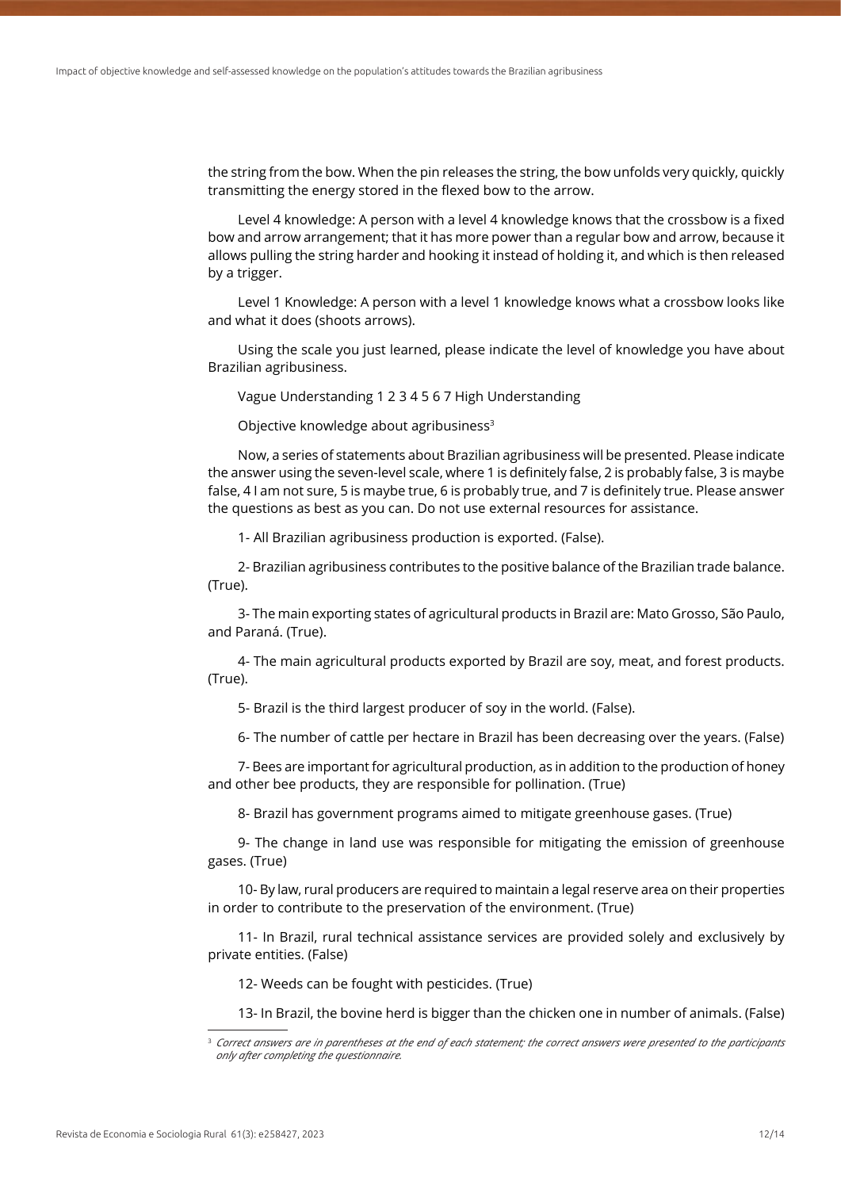the string from the bow. When the pin releases the string, the bow unfolds very quickly, quickly transmitting the energy stored in the flexed bow to the arrow.

Level 4 knowledge: A person with a level 4 knowledge knows that the crossbow is a fixed bow and arrow arrangement; that it has more power than a regular bow and arrow, because it allows pulling the string harder and hooking it instead of holding it, and which is then released by a trigger.

Level 1 Knowledge: A person with a level 1 knowledge knows what a crossbow looks like and what it does (shoots arrows).

Using the scale you just learned, please indicate the level of knowledge you have about Brazilian agribusiness.

Vague Understanding 1 2 3 4 5 6 7 High Understanding

Objective knowledge about agribusiness<sup>3</sup>

Now, a series of statements about Brazilian agribusiness will be presented. Please indicate the answer using the seven-level scale, where 1 is definitely false, 2 is probably false, 3 is maybe false, 4 I am not sure, 5 is maybe true, 6 is probably true, and 7 is definitely true. Please answer the questions as best as you can. Do not use external resources for assistance.

1- All Brazilian agribusiness production is exported. (False).

2- Brazilian agribusiness contributes to the positive balance of the Brazilian trade balance. (True).

3- The main exporting states of agricultural products in Brazil are: Mato Grosso, São Paulo, and Paraná. (True).

4- The main agricultural products exported by Brazil are soy, meat, and forest products. (True).

5- Brazil is the third largest producer of soy in the world. (False).

6- The number of cattle per hectare in Brazil has been decreasing over the years. (False)

7- Bees are important for agricultural production, as in addition to the production of honey and other bee products, they are responsible for pollination. (True)

8- Brazil has government programs aimed to mitigate greenhouse gases. (True)

9- The change in land use was responsible for mitigating the emission of greenhouse gases. (True)

10- By law, rural producers are required to maintain a legal reserve area on their properties in order to contribute to the preservation of the environment. (True)

11- In Brazil, rural technical assistance services are provided solely and exclusively by private entities. (False)

12- Weeds can be fought with pesticides. (True)

13- In Brazil, the bovine herd is bigger than the chicken one in number of animals. (False)

<sup>3</sup> *Correct answers are in parentheses at the end of each statement; the correct answers were presented to the participants only after completing the questionnaire.*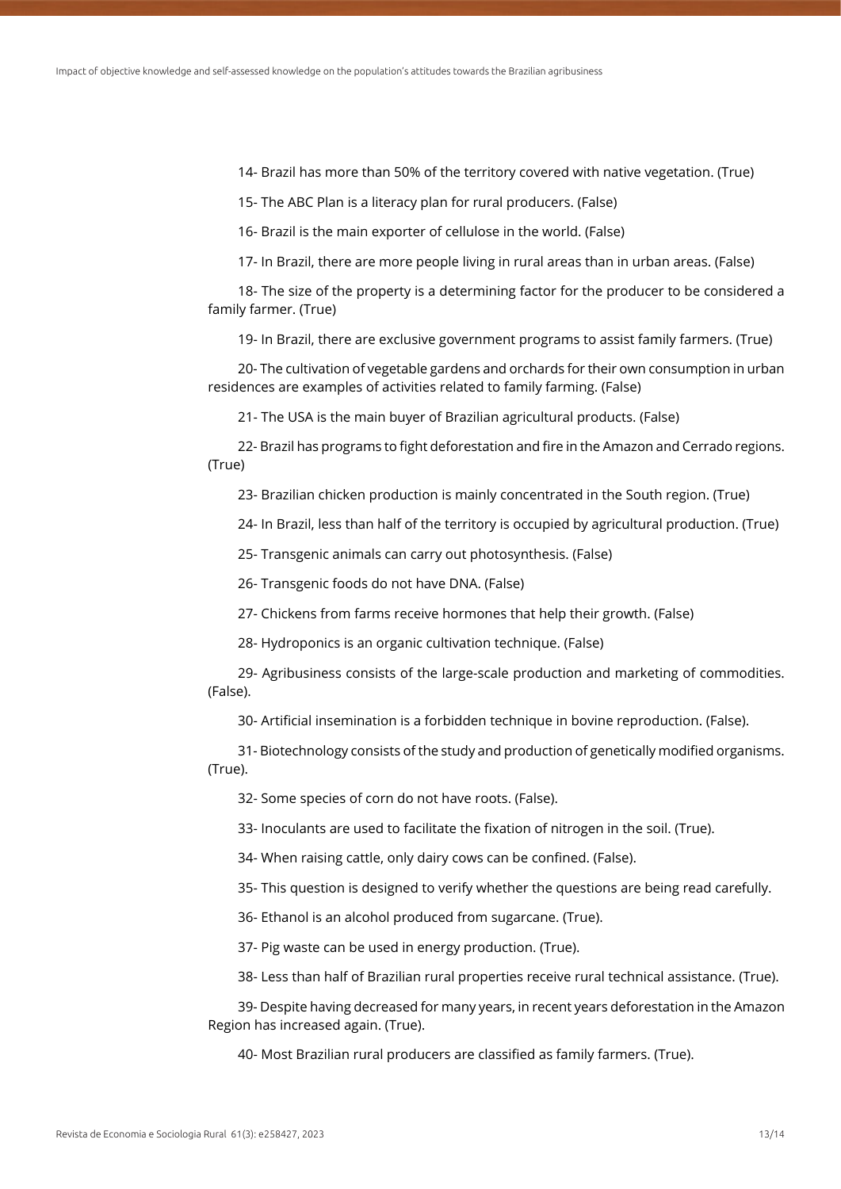14- Brazil has more than 50% of the territory covered with native vegetation. (True)

15- The ABC Plan is a literacy plan for rural producers. (False)

16- Brazil is the main exporter of cellulose in the world. (False)

17- In Brazil, there are more people living in rural areas than in urban areas. (False)

18- The size of the property is a determining factor for the producer to be considered a family farmer. (True)

19- In Brazil, there are exclusive government programs to assist family farmers. (True)

20- The cultivation of vegetable gardens and orchards for their own consumption in urban residences are examples of activities related to family farming. (False)

21- The USA is the main buyer of Brazilian agricultural products. (False)

22- Brazil has programs to fight deforestation and fire in the Amazon and Cerrado regions. (True)

23- Brazilian chicken production is mainly concentrated in the South region. (True)

24- In Brazil, less than half of the territory is occupied by agricultural production. (True)

25- Transgenic animals can carry out photosynthesis. (False)

26- Transgenic foods do not have DNA. (False)

27- Chickens from farms receive hormones that help their growth. (False)

28- Hydroponics is an organic cultivation technique. (False)

29- Agribusiness consists of the large-scale production and marketing of commodities. (False).

30- Artificial insemination is a forbidden technique in bovine reproduction. (False).

31- Biotechnology consists of the study and production of genetically modified organisms. (True).

32- Some species of corn do not have roots. (False).

33- Inoculants are used to facilitate the fixation of nitrogen in the soil. (True).

34- When raising cattle, only dairy cows can be confined. (False).

35- This question is designed to verify whether the questions are being read carefully.

36- Ethanol is an alcohol produced from sugarcane. (True).

37- Pig waste can be used in energy production. (True).

38- Less than half of Brazilian rural properties receive rural technical assistance. (True).

39- Despite having decreased for many years, in recent years deforestation in the Amazon Region has increased again. (True).

40- Most Brazilian rural producers are classified as family farmers. (True).